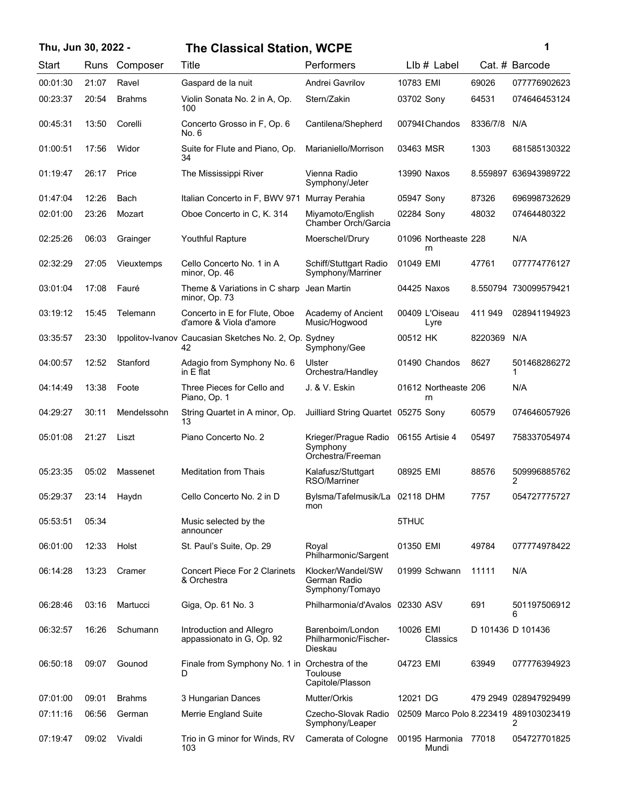| Thu, Jun 30, 2022 - |       |               | <b>The Classical Station, WCPE</b>                          |                                                       | 1                                      |          |                       |
|---------------------|-------|---------------|-------------------------------------------------------------|-------------------------------------------------------|----------------------------------------|----------|-----------------------|
| Start               | Runs  | Composer      | Title                                                       | Performers                                            | $Llb#$ Label                           |          | Cat. # Barcode        |
| 00:01:30            | 21:07 | Ravel         | Gaspard de la nuit                                          | Andrei Gavrilov                                       | 10783 EMI                              | 69026    | 077776902623          |
| 00:23:37            | 20:54 | <b>Brahms</b> | Violin Sonata No. 2 in A, Op.<br>100                        | Stern/Zakin                                           | 03702 Sony                             | 64531    | 074646453124          |
| 00:45:31            | 13:50 | Corelli       | Concerto Grosso in F, Op. 6<br>No. 6                        | Cantilena/Shepherd                                    | 00794 Chandos                          | 8336/7/8 | N/A                   |
| 01:00:51            | 17:56 | Widor         | Suite for Flute and Piano, Op.<br>34                        | Marianiello/Morrison                                  | 03463 MSR                              | 1303     | 681585130322          |
| 01:19:47            | 26:17 | Price         | The Mississippi River                                       | Vienna Radio<br>Symphony/Jeter                        | 13990 Naxos                            |          | 8.559897 636943989722 |
| 01:47:04            | 12:26 | Bach          | Italian Concerto in F, BWV 971                              | Murray Perahia                                        | 05947 Sony                             | 87326    | 696998732629          |
| 02:01:00            | 23:26 | Mozart        | Oboe Concerto in C, K. 314                                  | Miyamoto/English<br>Chamber Orch/Garcia               | 02284 Sony                             | 48032    | 07464480322           |
| 02:25:26            | 06:03 | Grainger      | <b>Youthful Rapture</b>                                     | Moerschel/Drury                                       | 01096 Northeaste 228<br>rn             |          | N/A                   |
| 02:32:29            | 27:05 | Vieuxtemps    | Cello Concerto No. 1 in A<br>minor, Op. 46                  | Schiff/Stuttgart Radio<br>Symphony/Marriner           | 01049 EMI                              | 47761    | 077774776127          |
| 03:01:04            | 17:08 | Fauré         | Theme & Variations in C sharp<br>minor, Op. 73              | Jean Martin                                           | 04425 Naxos                            |          | 8.550794 730099579421 |
| 03:19:12            | 15:45 | Telemann      | Concerto in E for Flute, Oboe<br>d'amore & Viola d'amore    | Academy of Ancient<br>Music/Hogwood                   | 00409 L'Oiseau<br>Lyre                 | 411 949  | 028941194923          |
| 03:35:57            | 23:30 |               | Ippolitov-Ivanov Caucasian Sketches No. 2, Op. Sydney<br>42 | Symphony/Gee                                          | 00512 HK                               | 8220369  | N/A                   |
| 04:00:57            | 12:52 | Stanford      | Adagio from Symphony No. 6<br>in $E$ flat                   | Ulster<br>Orchestra/Handley                           | 01490 Chandos                          | 8627     | 501468286272          |
| 04:14:49            | 13:38 | Foote         | Three Pieces for Cello and<br>Piano, Op. 1                  | J. & V. Eskin                                         | 01612 Northeaste 206<br>rn             |          | N/A                   |
| 04:29:27            | 30:11 | Mendelssohn   | String Quartet in A minor, Op.<br>13                        | Juilliard String Quartet 05275 Sony                   |                                        | 60579    | 074646057926          |
| 05:01:08            | 21:27 | Liszt         | Piano Concerto No. 2                                        | Krieger/Prague Radio<br>Symphony<br>Orchestra/Freeman | 06155 Artisie 4                        | 05497    | 758337054974          |
| 05:23:35            | 05:02 | Massenet      | <b>Meditation from Thais</b>                                | Kalafusz/Stuttgart<br>RSO/Marriner                    | 08925 EMI                              | 88576    | 509996885762<br>2     |
| 05:29:37            | 23:14 | Haydn         | Cello Concerto No. 2 in D                                   | Bylsma/Tafelmusik/La 02118 DHM<br>mon                 |                                        | 7757     | 054727775727          |
| 05:53:51            | 05:34 |               | Music selected by the<br>announcer                          |                                                       | 5THUC                                  |          |                       |
| 06:01:00            | 12:33 | Holst         | St. Paul's Suite, Op. 29                                    | Royal<br>Philharmonic/Sargent                         | 01350 EMI                              | 49784    | 077774978422          |
| 06:14:28            | 13:23 | Cramer        | <b>Concert Piece For 2 Clarinets</b><br>& Orchestra         | Klocker/Wandel/SW<br>German Radio<br>Symphony/Tomayo  | 01999 Schwann                          | 11111    | N/A                   |
| 06:28:46            | 03:16 | Martucci      | Giga, Op. 61 No. 3                                          | Philharmonia/d'Avalos 02330 ASV                       |                                        | 691      | 501197506912<br>6     |
| 06:32:57            | 16:26 | Schumann      | Introduction and Allegro<br>appassionato in G, Op. 92       | Barenboim/London<br>Philharmonic/Fischer-<br>Dieskau  | 10026 EMI<br>Classics                  |          | D 101436 D 101436     |
| 06:50:18            | 09:07 | Gounod        | Finale from Symphony No. 1 in Orchestra of the<br>D         | Toulouse<br>Capitole/Plasson                          | 04723 EMI                              | 63949    | 077776394923          |
| 07:01:00            | 09:01 | <b>Brahms</b> | 3 Hungarian Dances                                          | Mutter/Orkis                                          | 12021 DG                               |          | 479 2949 028947929499 |
| 07:11:16            | 06:56 | German        | Merrie England Suite                                        | Czecho-Slovak Radio<br>Symphony/Leaper                | 02509 Marco Polo 8.223419 489103023419 |          | 2                     |
| 07:19:47            | 09:02 | Vivaldi       | Trio in G minor for Winds, RV<br>103                        | Camerata of Cologne                                   | 00195 Harmonia 77018<br>Mundi          |          | 054727701825          |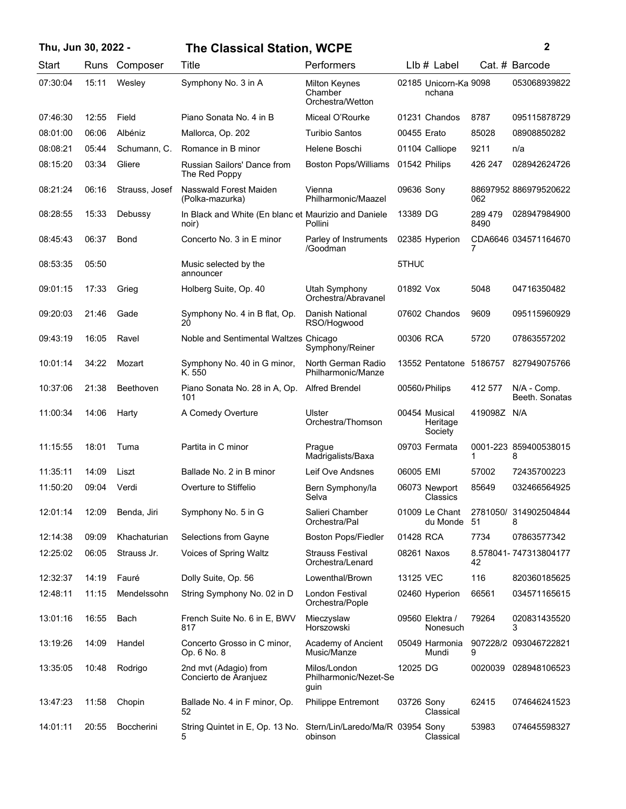| Thu, Jun 30, 2022 - |  |  |  |  |
|---------------------|--|--|--|--|
|---------------------|--|--|--|--|

## **Thu, Jun 30, 2022 - 2 The Classical Station, WCPE**

|  |  | i<br>ł<br>٠ |  |
|--|--|-------------|--|

| Start    | Runs  | Composer       | Title                                                         | Performers                                          | LIb # Label                          |                 | Cat. # Barcode                |
|----------|-------|----------------|---------------------------------------------------------------|-----------------------------------------------------|--------------------------------------|-----------------|-------------------------------|
| 07:30:04 | 15:11 | Wesley         | Symphony No. 3 in A                                           | <b>Milton Keynes</b><br>Chamber<br>Orchestra/Wetton | 02185 Unicorn-Ka 9098<br>nchana      |                 | 053068939822                  |
| 07:46:30 | 12:55 | Field          | Piano Sonata No. 4 in B                                       | Miceal O'Rourke                                     | 01231 Chandos                        | 8787            | 095115878729                  |
| 08:01:00 | 06:06 | Albéniz        | Mallorca, Op. 202                                             | <b>Turibio Santos</b>                               | 00455 Erato                          | 85028           | 08908850282                   |
| 08:08:21 | 05:44 | Schumann, C.   | Romance in B minor                                            | Helene Boschi                                       | 01104 Calliope                       | 9211            | n/a                           |
| 08:15:20 | 03:34 | Gliere         | <b>Russian Sailors' Dance from</b><br>The Red Poppy           | <b>Boston Pops/Williams</b>                         | 01542 Philips                        | 426 247         | 028942624726                  |
| 08:21:24 | 06:16 | Strauss, Josef | Nasswald Forest Maiden<br>(Polka-mazurka)                     | Vienna<br>Philharmonic/Maazel                       | 09636 Sony                           | 062             | 88697952 886979520622         |
| 08:28:55 | 15:33 | Debussy        | In Black and White (En blanc et Maurizio and Daniele<br>noir) | Pollini                                             | 13389 DG                             | 289 479<br>8490 | 028947984900                  |
| 08:45:43 | 06:37 | Bond           | Concerto No. 3 in E minor                                     | Parley of Instruments<br>/Goodman                   | 02385 Hyperion                       |                 | CDA6646 034571164670          |
| 08:53:35 | 05:50 |                | Music selected by the<br>announcer                            |                                                     | 5THUC                                |                 |                               |
| 09:01:15 | 17:33 | Grieg          | Holberg Suite, Op. 40                                         | Utah Symphony<br>Orchestra/Abravanel                | 01892 Vox                            | 5048            | 04716350482                   |
| 09:20:03 | 21:46 | Gade           | Symphony No. 4 in B flat, Op.<br>20                           | Danish National<br>RSO/Hogwood                      | 07602 Chandos                        | 9609            | 095115960929                  |
| 09:43:19 | 16:05 | Ravel          | Noble and Sentimental Waltzes Chicago                         | Symphony/Reiner                                     | 00306 RCA                            | 5720            | 07863557202                   |
| 10:01:14 | 34:22 | Mozart         | Symphony No. 40 in G minor,<br>K. 550                         | North German Radio<br>Philharmonic/Manze            | 13552 Pentatone                      | 5186757         | 827949075766                  |
| 10:37:06 | 21:38 | Beethoven      | Piano Sonata No. 28 in A, Op.<br>101                          | <b>Alfred Brendel</b>                               | 00560/Philips                        | 412 577         | N/A - Comp.<br>Beeth. Sonatas |
| 11:00:34 | 14:06 | Harty          | A Comedy Overture                                             | Ulster<br>Orchestra/Thomson                         | 00454 Musical<br>Heritage<br>Society | 419098Z N/A     |                               |
| 11:15:55 | 18:01 | Tuma           | Partita in C minor                                            | Prague<br>Madrigalists/Baxa                         | 09703 Fermata                        | 1.              | 0001-223 859400538015<br>8    |
| 11:35:11 | 14:09 | Liszt          | Ballade No. 2 in B minor                                      | Leif Ove Andsnes                                    | 06005 EMI                            | 57002           | 72435700223                   |
| 11:50:20 | 09:04 | Verdi          | Overture to Stiffelio                                         | Bern Symphony/la<br>Selva                           | 06073 Newport<br>Classics            | 85649           | 032466564925                  |
| 12:01:14 | 12:09 | Benda, Jiri    | Symphony No. 5 in G                                           | Salieri Chamber<br>Orchestra/Pal                    | 01009 Le Chant<br>du Monde 51        |                 | 2781050/ 314902504844<br>8    |
| 12:14:38 | 09:09 | Khachaturian   | Selections from Gayne                                         | <b>Boston Pops/Fiedler</b>                          | 01428 RCA                            | 7734            | 07863577342                   |
| 12:25:02 | 06:05 | Strauss Jr.    | Voices of Spring Waltz                                        | <b>Strauss Festival</b><br>Orchestra/Lenard         | 08261 Naxos                          | 42              | 8.578041-747313804177         |
| 12:32:37 | 14:19 | Fauré          | Dolly Suite, Op. 56                                           | Lowenthal/Brown                                     | 13125 VEC                            | 116             | 820360185625                  |
| 12:48:11 | 11:15 | Mendelssohn    | String Symphony No. 02 in D                                   | London Festival<br>Orchestra/Pople                  | 02460 Hyperion                       | 66561           | 034571165615                  |
| 13:01:16 | 16:55 | Bach           | French Suite No. 6 in E, BWV<br>817                           | Mieczyslaw<br>Horszowski                            | 09560 Elektra /<br>Nonesuch          | 79264           | 020831435520<br>3             |
| 13:19:26 | 14:09 | Handel         | Concerto Grosso in C minor,<br>Op. 6 No. 8                    | Academy of Ancient<br>Music/Manze                   | 05049 Harmonia<br>Mundi              | 9               | 907228/2 093046722821         |
| 13:35:05 | 10:48 | Rodrigo        | 2nd mvt (Adagio) from<br>Concierto de Aranjuez                | Milos/London<br>Philharmonic/Nezet-Se<br>guin       | 12025 DG                             | 0020039         | 028948106523                  |
| 13:47:23 | 11:58 | Chopin         | Ballade No. 4 in F minor, Op.<br>52                           | <b>Philippe Entremont</b>                           | 03726 Sony<br>Classical              | 62415           | 074646241523                  |
| 14:01:11 | 20:55 | Boccherini     | String Quintet in E, Op. 13 No.<br>5                          | Stern/Lin/Laredo/Ma/R 03954 Sony<br>obinson         | Classical                            | 53983           | 074645598327                  |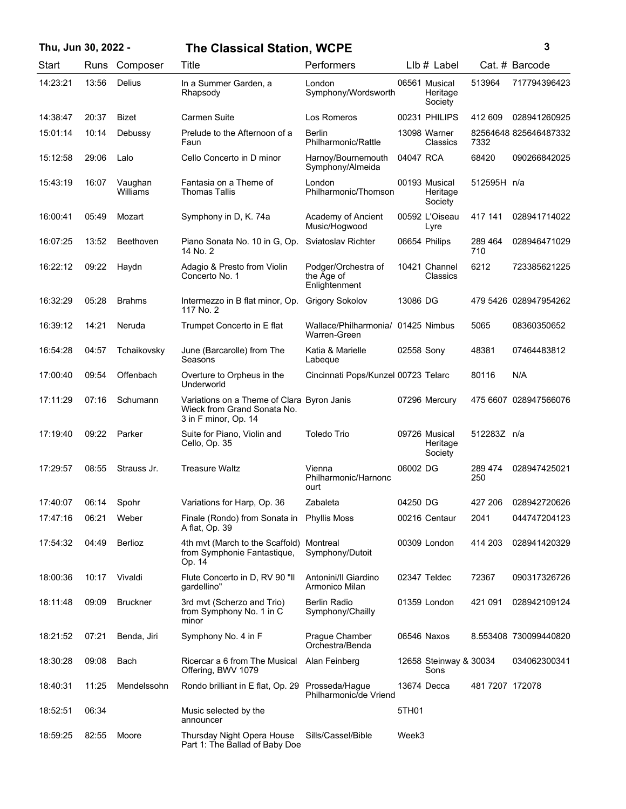Start Runs Composer

## **Thu, Jun 30, 2022 - 3 The Classical Station, WCPE**

13:56 In a Summer Garden, a 06561

14:23:21 13:56 Delius In a Summer Garden, a London 06561 Musical

| Title                             | <b>Performers</b>             | $Llb \#$ Label                       |         | Cat. # Barcode |
|-----------------------------------|-------------------------------|--------------------------------------|---------|----------------|
| In a Summer Garden, a<br>Rhapsody | London<br>Symphony/Wordsworth | 06561 Musical<br>Heritage<br>Society | 513964  | 717794396423   |
| Carmen Suite                      | Los Romeros                   | 00231 PHILIPS                        | 412 609 | 028941260925   |
|                                   |                               |                                      |         |                |

|          |       |                     |                                                                                                   |                                                    |            | Society                              |                 |                       |
|----------|-------|---------------------|---------------------------------------------------------------------------------------------------|----------------------------------------------------|------------|--------------------------------------|-----------------|-----------------------|
| 14:38:47 | 20:37 | <b>Bizet</b>        | <b>Carmen Suite</b>                                                                               | Los Romeros                                        |            | 00231 PHILIPS                        | 412 609         | 028941260925          |
| 15:01:14 | 10:14 | Debussy             | Prelude to the Afternoon of a<br>Faun                                                             | <b>Berlin</b><br>Philharmonic/Rattle               |            | 13098 Warner<br>Classics             | 7332            | 82564648 825646487332 |
| 15:12:58 | 29:06 | Lalo                | Cello Concerto in D minor                                                                         | Harnoy/Bournemouth<br>Symphony/Almeida             | 04047 RCA  |                                      | 68420           | 090266842025          |
| 15:43:19 | 16:07 | Vaughan<br>Williams | Fantasia on a Theme of<br><b>Thomas Tallis</b>                                                    | London<br>Philharmonic/Thomson                     |            | 00193 Musical<br>Heritage<br>Society | 512595H n/a     |                       |
| 16:00:41 | 05:49 | Mozart              | Symphony in D, K. 74a                                                                             | Academy of Ancient<br>Music/Hogwood                |            | 00592 L'Oiseau<br>Lyre               | 417 141         | 028941714022          |
| 16:07:25 | 13:52 | Beethoven           | Piano Sonata No. 10 in G, Op.<br>14 No. 2                                                         | Sviatoslav Richter                                 |            | 06654 Philips                        | 289 464<br>710  | 028946471029          |
| 16:22:12 | 09:22 | Haydn               | Adagio & Presto from Violin<br>Concerto No. 1                                                     | Podger/Orchestra of<br>the Age of<br>Enlightenment |            | 10421 Channel<br>Classics            | 6212            | 723385621225          |
| 16:32:29 | 05:28 | <b>Brahms</b>       | Intermezzo in B flat minor, Op.<br>117 No. 2                                                      | <b>Grigory Sokolov</b>                             | 13086 DG   |                                      |                 | 479 5426 028947954262 |
| 16:39:12 | 14:21 | Neruda              | Trumpet Concerto in E flat                                                                        | Wallace/Philharmonia/ 01425 Nimbus<br>Warren-Green |            |                                      | 5065            | 08360350652           |
| 16:54:28 | 04:57 | Tchaikovsky         | June (Barcarolle) from The<br>Seasons                                                             | Katia & Marielle<br>Labeque                        | 02558 Sony |                                      | 48381           | 07464483812           |
| 17:00:40 | 09:54 | Offenbach           | Overture to Orpheus in the<br>Underworld                                                          | Cincinnati Pops/Kunzel 00723 Telarc                |            |                                      | 80116           | N/A                   |
| 17:11:29 | 07:16 | Schumann            | Variations on a Theme of Clara Byron Janis<br>Wieck from Grand Sonata No.<br>3 in F minor, Op. 14 |                                                    |            | 07296 Mercury                        |                 | 475 6607 028947566076 |
| 17:19:40 | 09:22 | Parker              | Suite for Piano, Violin and<br>Cello, Op. 35                                                      | <b>Toledo Trio</b>                                 |            | 09726 Musical<br>Heritage<br>Society | 512283Z n/a     |                       |
| 17:29:57 | 08:55 | Strauss Jr.         | <b>Treasure Waltz</b>                                                                             | Vienna<br>Philharmonic/Harnonc<br>ourt             | 06002 DG   |                                      | 289 474<br>250  | 028947425021          |
| 17:40:07 | 06:14 | Spohr               | Variations for Harp, Op. 36                                                                       | Zabaleta                                           | 04250 DG   |                                      | 427 206         | 028942720626          |
| 17:47:16 | 06:21 | Weber               | Finale (Rondo) from Sonata in<br>A flat, Op. 39                                                   | <b>Phyllis Moss</b>                                |            | 00216 Centaur                        | 2041            | 044747204123          |
| 17:54:32 | 04:49 | <b>Berlioz</b>      | 4th mvt (March to the Scaffold)<br>from Symphonie Fantastique,<br>Op. 14                          | Montreal<br>Symphony/Dutoit                        |            | 00309 London                         | 414 203         | 028941420329          |
| 18:00:36 | 10:17 | Vivaldi             | Flute Concerto in D, RV 90 "II<br>qardellino"                                                     | Antonini/II Giardino<br>Armonico Milan             |            | 02347 Teldec                         | 72367           | 090317326726          |
| 18:11:48 | 09:09 | <b>Bruckner</b>     | 3rd mvt (Scherzo and Trio)<br>from Symphony No. 1 in C<br>minor                                   | <b>Berlin Radio</b><br>Symphony/Chailly            |            | 01359 London                         | 421 091         | 028942109124          |
| 18:21:52 | 07:21 | Benda, Jiri         | Symphony No. 4 in F                                                                               | Prague Chamber<br>Orchestra/Benda                  |            | 06546 Naxos                          |                 | 8.553408 730099440820 |
| 18:30:28 | 09:08 | Bach                | Ricercar a 6 from The Musical<br>Offering, BWV 1079                                               | Alan Feinberg                                      |            | 12658 Steinway & 30034<br>Sons       |                 | 034062300341          |
| 18:40:31 | 11:25 | Mendelssohn         | Rondo brilliant in E flat, Op. 29                                                                 | Prosseda/Hague<br>Philharmonic/de Vriend           |            | 13674 Decca                          | 481 7207 172078 |                       |
| 18:52:51 | 06:34 |                     | Music selected by the<br>announcer                                                                |                                                    | 5TH01      |                                      |                 |                       |
| 18:59:25 | 82:55 | Moore               | Thursday Night Opera House<br>Part 1: The Ballad of Baby Doe                                      | Sills/Cassel/Bible                                 | Week3      |                                      |                 |                       |